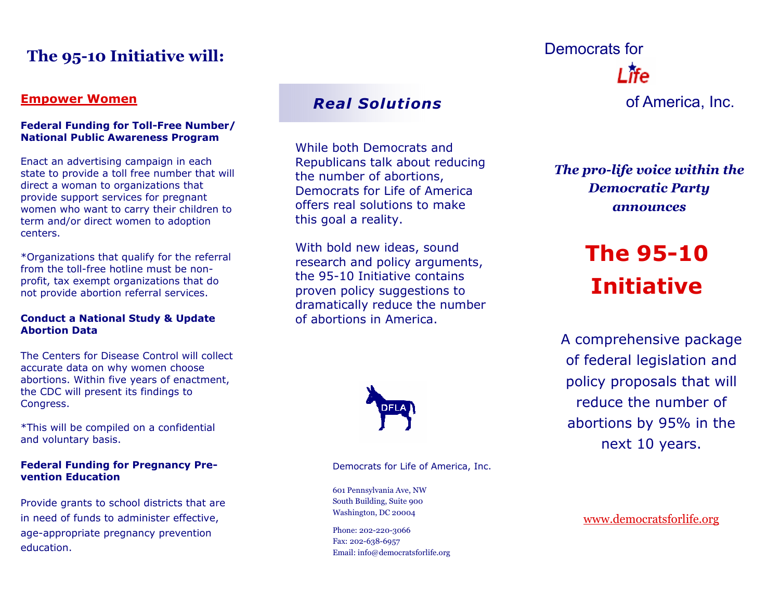## **The 95-10 Initiative will:**

#### **Empower Women**

#### **Federal Funding for Toll-Free Number/ National Public Awareness Program**

Enact an advertising campaign in each state to provide a toll free number that will direct a woman to organizations that provide support services for pregnant women who want to carry their children to term and/or direct women to adoption centers.

\*Organizations that qualify for the referral from the toll-free hotline must be nonprofit, tax exempt organizations that do not provide abortion referral services.

#### **Conduct a National Study & Update Abortion Data**

The Centers for Disease Control will collect accurate data on why women choose abortions. Within five years of enactment, the CDC will present its findings to Congress.

\*This will be compiled on a confidential and voluntary basis.

#### **Federal Funding for Pregnancy Prevention Education**

Provide grants to school districts that are in need of funds to administer effective, age-appropriate pregnancy prevention education.

### *Real Solutions*

While both Democrats and Republicans talk about reducing the number of abortions, Democrats for Life of America offers real solutions to make this goal a reality.

With bold new ideas, sound research and policy arguments, the 95-10 Initiative contains proven policy suggestions to dramatically reduce the number of abortions in America.



Democrats for Life of America, Inc.

601 Pennsylvania Ave, NW South Building, Suite 900

Phone: 202-220-3066 Fax: 202-638-6957 Email: info@democratsforlife.org

# of America, Inc. Democrats for

*The pro-life voice within the Democratic Party announces* 

## **The 95-10 Initiative**

A comprehensive package of federal legislation and policy proposals that will reduce the number of abortions by 95% in the next 10 years.

Washington, DC 20004 WWW.democratsforlife.org